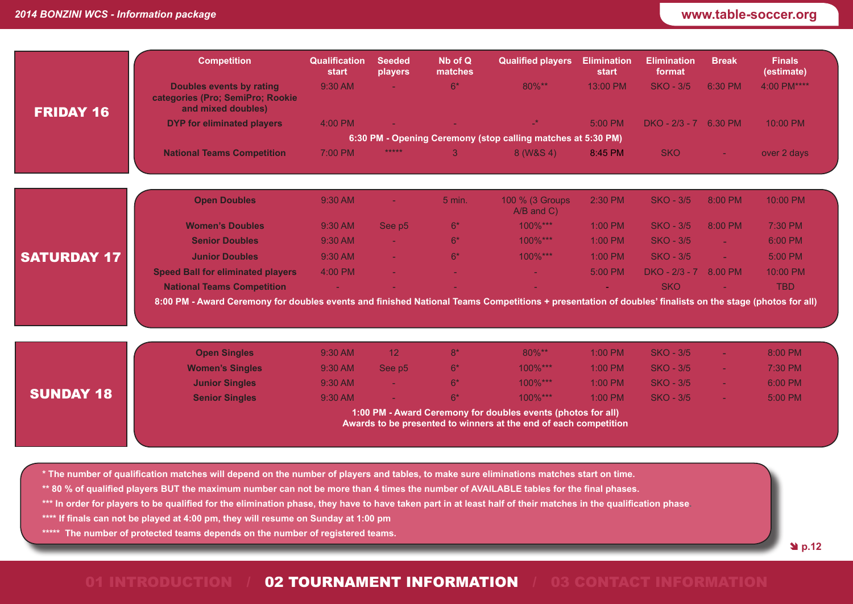| <b>FRIDAY 16</b>   | <b>Competition</b>                                                                                                                                      | Qualification<br>start | <b>Seeded</b><br>players | Nb of Q<br>matches | <b>Qualified players</b> | <b>Elimination</b><br>start | <b>Elimination</b><br>format | <b>Break</b> | <b>Finals</b><br>(estimate) |  |
|--------------------|---------------------------------------------------------------------------------------------------------------------------------------------------------|------------------------|--------------------------|--------------------|--------------------------|-----------------------------|------------------------------|--------------|-----------------------------|--|
|                    | <b>Doubles events by rating</b><br>categories (Pro; SemiPro; Rookie<br>and mixed doubles)                                                               | 9:30 AM                | ÷.                       | $6*$               | 80%**                    | 13:00 PM                    | <b>SKO - 3/5</b>             | 6:30 PM      | 4:00 PM****                 |  |
|                    | <b>DYP for eliminated players</b>                                                                                                                       | 4:00 PM                |                          |                    | $\mathbb{L}^*$           | 5:00 PM                     | DKO - 2/3 - 7 6.30 PM        |              | 10:00 PM                    |  |
|                    | 6:30 PM - Opening Ceremony (stop calling matches at 5:30 PM)                                                                                            |                        |                          |                    |                          |                             |                              |              |                             |  |
|                    | <b>National Teams Competition</b>                                                                                                                       | 7:00 PM                | *****                    | 3                  | 8 (W&S 4)                | 8:45 PM                     | <b>SKO</b>                   |              | over 2 days                 |  |
|                    | <b>Open Doubles</b>                                                                                                                                     | 9:30 AM                |                          | 5 min.             | 100 % (3 Groups          | 2:30 PM                     | <b>SKO - 3/5</b>             | 8:00 PM      | 10:00 PM                    |  |
|                    |                                                                                                                                                         |                        |                          |                    | $A/B$ and $C$ )          |                             |                              |              |                             |  |
|                    | <b>Women's Doubles</b>                                                                                                                                  | 9:30 AM                | See p5                   | $6*$               | 100%***                  | $1:00$ PM                   | <b>SKO - 3/5</b>             | 8:00 PM      | 7:30 PM                     |  |
| <b>SATURDAY 17</b> | <b>Senior Doubles</b>                                                                                                                                   | 9:30 AM                | ÷.                       | $6*$               | 100%***                  | 1:00 PM                     | <b>SKO - 3/5</b>             | ne.          | 6:00 PM                     |  |
|                    | <b>Junior Doubles</b>                                                                                                                                   | 9:30 AM                |                          | $6*$               | $100\%***$               | $1:00$ PM                   | <b>SKO - 3/5</b>             | ш.           | 5:00 PM                     |  |
|                    | <b>Speed Ball for eliminated players</b>                                                                                                                | 4:00 PM                |                          |                    |                          | 5:00 PM                     | DKO - 2/3 - 7                | 8.00 PM      | 10:00 PM                    |  |
|                    | <b>National Teams Competition</b>                                                                                                                       |                        |                          |                    |                          |                             | <b>SKO</b>                   |              | <b>TBD</b>                  |  |
|                    | 8:00 PM - Award Ceremony for doubles events and finished National Teams Competitions + presentation of doubles' finalists on the stage (photos for all) |                        |                          |                    |                          |                             |                              |              |                             |  |
| <b>SUNDAY 18</b>   | <b>Open Singles</b>                                                                                                                                     | 9:30 AM                | 12                       | $8*$               | 80%**                    | 1:00 PM                     | <b>SKO - 3/5</b>             |              | 8:00 PM                     |  |
|                    | <b>Women's Singles</b>                                                                                                                                  | 9:30 AM                | See p5                   | $6*$               | 100%***                  | 1:00 PM                     | <b>SKO - 3/5</b>             | $\sim$       | 7:30 PM                     |  |
|                    | <b>Junior Singles</b>                                                                                                                                   | 9:30 AM                |                          | $6*$               | 100%***                  | 1:00 PM                     | <b>SKO - 3/5</b>             | $\sim$       | 6:00 PM                     |  |
|                    | <b>Senior Singles</b>                                                                                                                                   | 9:30 AM                |                          | $6*$               | 100%***                  | 1:00 PM                     | <b>SKO - 3/5</b>             | ×.           | 5:00 PM                     |  |
|                    | 1:00 PM - Award Ceremony for doubles events (photos for all)<br>Awards to be presented to winners at the end of each competition                        |                        |                          |                    |                          |                             |                              |              |                             |  |

- **\*\*\* In order for players to be qualified for the elimination phase, they have to have taken part in at least half of their matches in the qualification phase.**
- **\*\*\*\* If finals can not be played at 4:00 pm, they will resume on Sunday at 1:00 pm**
- **\*\*\*\*\* The number of protected teams depends on the number of registered teams.**

**p.12**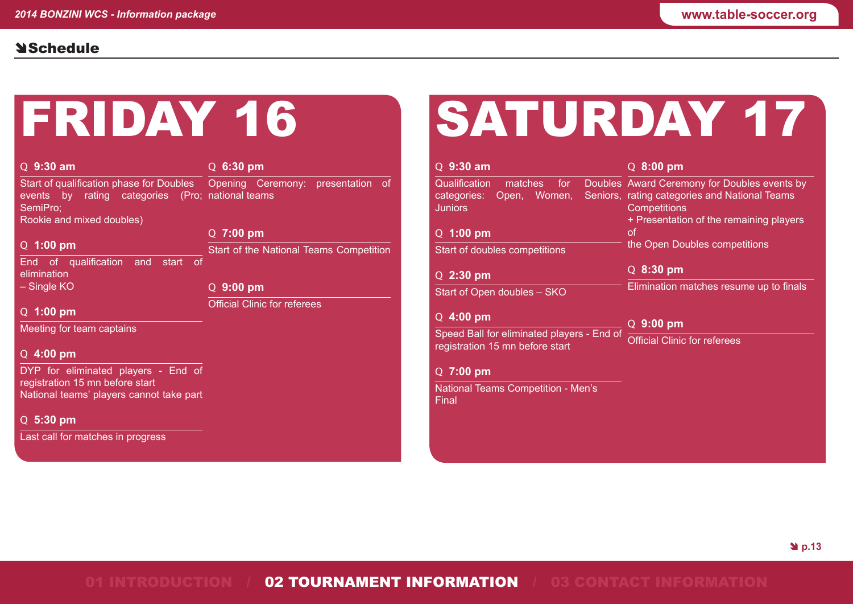### **NSchedule**

| FRIDAY 16                                                                                 |                                         |
|-------------------------------------------------------------------------------------------|-----------------------------------------|
|                                                                                           |                                         |
| $Q$ 9:30 am                                                                               | $Q$ 6:30 pm                             |
| events by rating categories (Pro; national teams<br>SemiPro;<br>Rookie and mixed doubles) |                                         |
|                                                                                           | $Q$ 7:00 pm                             |
| $Q$ 1:00 pm                                                                               |                                         |
| End of qualification and start of<br>elimination                                          | Start of the National Teams Competition |
| - Single KO                                                                               | $Q$ 9:00 pm                             |
| $Q$ 1:00 pm                                                                               | <b>Official Clinic for referees</b>     |
| Meeting for team captains                                                                 |                                         |
| $Q$ 4:00 pm                                                                               |                                         |
| DYP for eliminated players - End of<br>registration 15 mn before start                    |                                         |
| National teams' players cannot take part                                                  |                                         |

Q **5:30 pm**

Last call for matches in progress

# SATURDAY 17

| $Q$ 9:30 am                                                                   | $Q$ 8:00 pm                                                                                   |  |  |  |
|-------------------------------------------------------------------------------|-----------------------------------------------------------------------------------------------|--|--|--|
| Qualification<br>matches for<br>categories:<br>Open, Women,                   | Doubles Award Ceremony for Doubles events by<br>Seniors, rating categories and National Teams |  |  |  |
| <b>Juniors</b>                                                                | Competitions<br>+ Presentation of the remaining players                                       |  |  |  |
| $1:00$ pm<br>O                                                                | οf                                                                                            |  |  |  |
| Start of doubles competitions                                                 | the Open Doubles competitions                                                                 |  |  |  |
| $Q$ 2:30 pm                                                                   | $Q$ 8:30 pm                                                                                   |  |  |  |
| Start of Open doubles - SKO                                                   | Elimination matches resume up to finals                                                       |  |  |  |
| $4:00$ pm<br>O                                                                | $Q$ 9:00 pm                                                                                   |  |  |  |
| Speed Ball for eliminated players - End of<br>registration 15 mn before start | <b>Official Clinic for referees</b>                                                           |  |  |  |
| $7:00$ pm<br>Ő                                                                |                                                                                               |  |  |  |
| National Teams Competition - Men's<br>Final                                   |                                                                                               |  |  |  |
|                                                                               |                                                                                               |  |  |  |
|                                                                               |                                                                                               |  |  |  |